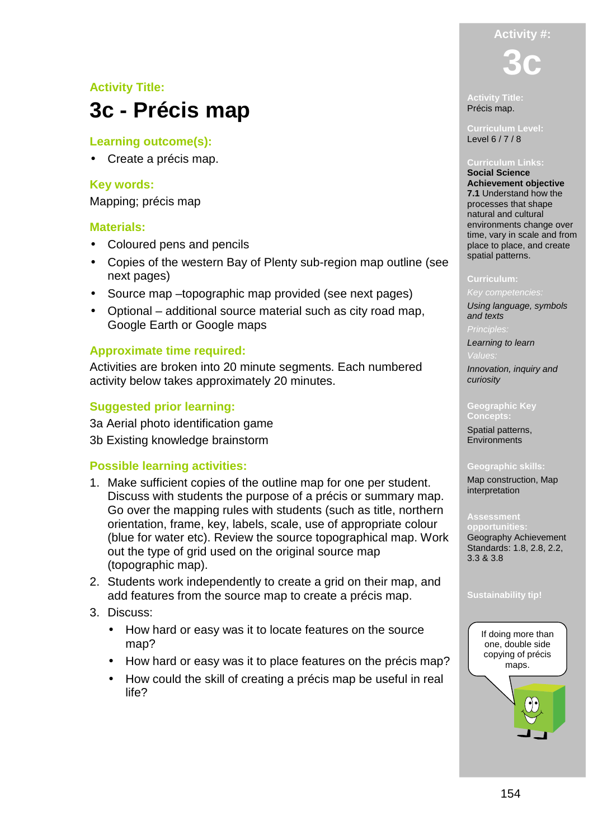# **Activity #:**

# **Activity Title:**

# **3c - Précis map**

### **Learning outcome(s):**

• Create a précis map.

### **Key words:**

Mapping; précis map

### **Materials:**

- Coloured pens and pencils
- Copies of the western Bay of Plenty sub-region map outline (see next pages)
- Source map –topographic map provided (see next pages)
- Optional additional source material such as city road map, Google Earth or Google maps

### **Approximate time required:**

Activities are broken into 20 minute segments. Each numbered activity below takes approximately 20 minutes.

### **Suggested prior learning:**

3a Aerial photo identification game

3b Existing knowledge brainstorm

### **Possible learning activities:**

- 1. Make sufficient copies of the outline map for one per student. Discuss with students the purpose of a précis or summary map. Go over the mapping rules with students (such as title, northern orientation, frame, key, labels, scale, use of appropriate colour (blue for water etc). Review the source topographical map. Work out the type of grid used on the original source map (topographic map).
- 2. Students work independently to create a grid on their map, and add features from the source map to create a précis map.
- 3. Discuss:
	- How hard or easy was it to locate features on the source map?
	- How hard or easy was it to place features on the précis map?
	- How could the skill of creating a précis map be useful in real life?

**3c** 

**Activity Title:**  Précis map.

**Curriculum Level:**  Level 6 / 7 / 8

**Social Science Achievement objective 7.1** Understand how the processes that shape natural and cultural environments change over time, vary in scale and from place to place, and create spatial patterns.

### **Curriculum:**

Key competencies: Using language, symbols and texts

Learning to learn

Innovation, inquiry and curiosity

### **Geographic Key Concepts:**

Spatial patterns, **Environments** 

### **Geographic skills:**

Map construction, Map interpretation

**opportunities:**  Geography Achievement Standards: 1.8, 2.8, 2.2, 3.3 & 3.8

### **Sustainability tip!**